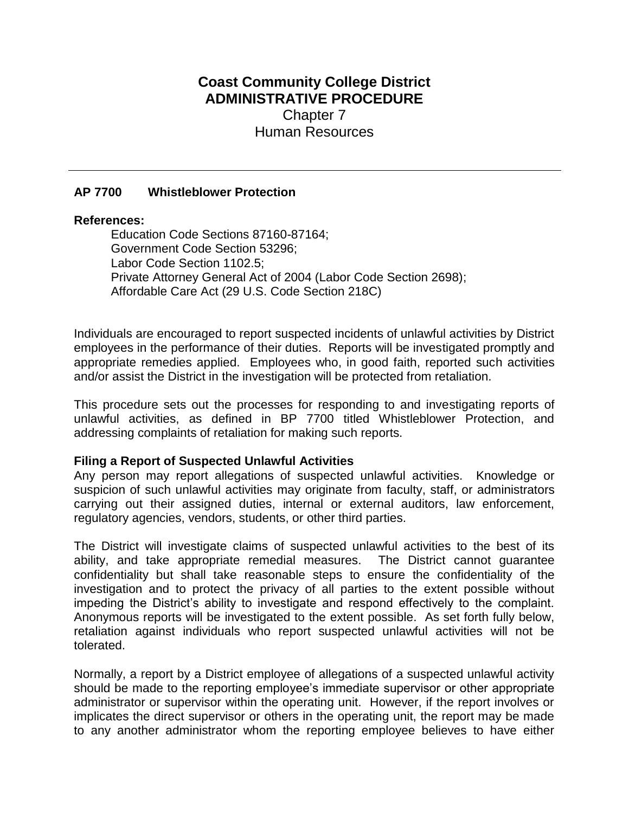# **Coast Community College District ADMINISTRATIVE PROCEDURE** Chapter 7 Human Resources

#### **AP 7700 Whistleblower Protection**

#### **References:**

Education Code Sections 87160-87164; Government Code Section 53296; Labor Code Section 1102.5; Private Attorney General Act of 2004 (Labor Code Section 2698); Affordable Care Act (29 U.S. Code Section 218C)

Individuals are encouraged to report suspected incidents of unlawful activities by District employees in the performance of their duties. Reports will be investigated promptly and appropriate remedies applied. Employees who, in good faith, reported such activities and/or assist the District in the investigation will be protected from retaliation.

This procedure sets out the processes for responding to and investigating reports of unlawful activities, as defined in BP 7700 titled Whistleblower Protection, and addressing complaints of retaliation for making such reports.

# **Filing a Report of Suspected Unlawful Activities**

Any person may report allegations of suspected unlawful activities. Knowledge or suspicion of such unlawful activities may originate from faculty, staff, or administrators carrying out their assigned duties, internal or external auditors, law enforcement, regulatory agencies, vendors, students, or other third parties.

The District will investigate claims of suspected unlawful activities to the best of its ability, and take appropriate remedial measures. The District cannot guarantee confidentiality but shall take reasonable steps to ensure the confidentiality of the investigation and to protect the privacy of all parties to the extent possible without impeding the District's ability to investigate and respond effectively to the complaint. Anonymous reports will be investigated to the extent possible. As set forth fully below, retaliation against individuals who report suspected unlawful activities will not be tolerated.

Normally, a report by a District employee of allegations of a suspected unlawful activity should be made to the reporting employee's immediate supervisor or other appropriate administrator or supervisor within the operating unit. However, if the report involves or implicates the direct supervisor or others in the operating unit, the report may be made to any another administrator whom the reporting employee believes to have either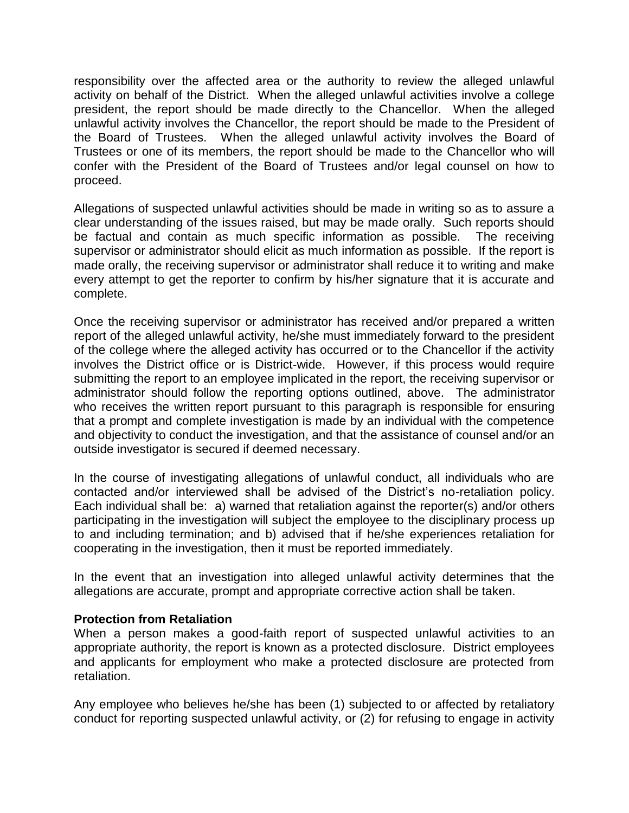responsibility over the affected area or the authority to review the alleged unlawful activity on behalf of the District. When the alleged unlawful activities involve a college president, the report should be made directly to the Chancellor. When the alleged unlawful activity involves the Chancellor, the report should be made to the President of the Board of Trustees. When the alleged unlawful activity involves the Board of Trustees or one of its members, the report should be made to the Chancellor who will confer with the President of the Board of Trustees and/or legal counsel on how to proceed.

Allegations of suspected unlawful activities should be made in writing so as to assure a clear understanding of the issues raised, but may be made orally. Such reports should be factual and contain as much specific information as possible. The receiving supervisor or administrator should elicit as much information as possible. If the report is made orally, the receiving supervisor or administrator shall reduce it to writing and make every attempt to get the reporter to confirm by his/her signature that it is accurate and complete.

Once the receiving supervisor or administrator has received and/or prepared a written report of the alleged unlawful activity, he/she must immediately forward to the president of the college where the alleged activity has occurred or to the Chancellor if the activity involves the District office or is District-wide. However, if this process would require submitting the report to an employee implicated in the report, the receiving supervisor or administrator should follow the reporting options outlined, above. The administrator who receives the written report pursuant to this paragraph is responsible for ensuring that a prompt and complete investigation is made by an individual with the competence and objectivity to conduct the investigation, and that the assistance of counsel and/or an outside investigator is secured if deemed necessary.

In the course of investigating allegations of unlawful conduct, all individuals who are contacted and/or interviewed shall be advised of the District's no-retaliation policy. Each individual shall be: a) warned that retaliation against the reporter(s) and/or others participating in the investigation will subject the employee to the disciplinary process up to and including termination; and b) advised that if he/she experiences retaliation for cooperating in the investigation, then it must be reported immediately.

In the event that an investigation into alleged unlawful activity determines that the allegations are accurate, prompt and appropriate corrective action shall be taken.

# **Protection from Retaliation**

When a person makes a good-faith report of suspected unlawful activities to an appropriate authority, the report is known as a protected disclosure. District employees and applicants for employment who make a protected disclosure are protected from retaliation.

Any employee who believes he/she has been (1) subjected to or affected by retaliatory conduct for reporting suspected unlawful activity, or (2) for refusing to engage in activity